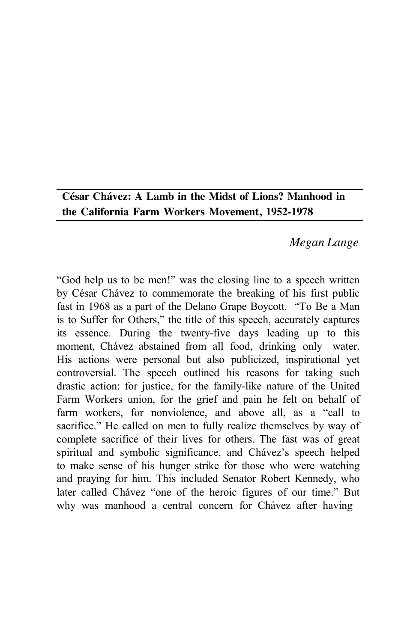# **César Chávez: A Lamb in the Midst of Lions? Manhood in the California Farm Workers Movement, 1952-1978**

# *Megan Lange*

"God help us to be men!" was the closing line to a speech written by César Chávez to commemorate the breaking of his first public fast in 1968 as a part of the Delano Grape Boycott. "To Be a Man is to Suffer for Others," the title of this speech, accurately captures its essence. During the twenty-five days leading up to this moment, Chávez abstained from all food, drinking only water. His actions were personal but also publicized, inspirational yet controversial. The speech outlined his reasons for taking such drastic action: for justice, for the family-like nature of the United Farm Workers union, for the grief and pain he felt on behalf of farm workers, for nonviolence, and above all, as a "call to sacrifice." He called on men to fully realize themselves by way of complete sacrifice of their lives for others. The fast was of great spiritual and symbolic significance, and Chávez's speech helped to make sense of his hunger strike for those who were watching and praying for him. This included Senator Robert Kennedy, who later called Chávez "one of the heroic figures of our time." But why was manhood a central concern for Chávez after having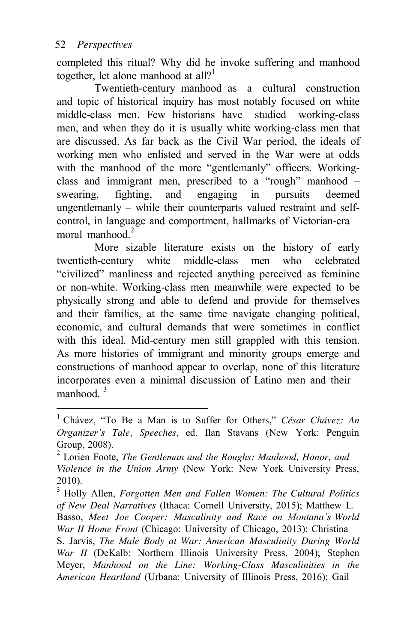completed this ritual? Why did he invoke suffering and manhood together, let alone manhood at all?<sup>1</sup>

Twentieth-century manhood as a cultural construction and topic of historical inquiry has most notably focused on white middle-class men. Few historians have studied working-class men, and when they do it is usually white working-class men that are discussed. As far back as the Civil War period, the ideals of working men who enlisted and served in the War were at odds with the manhood of the more "gentlemanly" officers. Workingclass and immigrant men, prescribed to a "rough" manhood – swearing, fighting, and engaging in pursuits deemed ungentlemanly – while their counterparts valued restraint and selfcontrol, in language and comportment, hallmarks of Victorian-era moral manhood.<sup>2</sup>

More sizable literature exists on the history of early twentieth-century white middle-class men who celebrated "civilized" manliness and rejected anything perceived as feminine or non-white. Working-class men meanwhile were expected to be physically strong and able to defend and provide for themselves and their families, at the same time navigate changing political, economic, and cultural demands that were sometimes in conflict with this ideal. Mid-century men still grappled with this tension. As more histories of immigrant and minority groups emerge and constructions of manhood appear to overlap, none of this literature incorporates even a minimal discussion of Latino men and their manhood  $3$ 

<sup>1</sup> Chávez, "To Be a Man is to Suffer for Others," *César Chávez: An Organizer's Tale, Speeches,* ed. Ilan Stavans (New York: Penguin Group, 2008).

<sup>2</sup> Lorien Foote, *The Gentleman and the Roughs: Manhood, Honor, and Violence in the Union Army* (New York: New York University Press, 2010).

<sup>3</sup> Holly Allen, *Forgotten Men and Fallen Women: The Cultural Politics of New Deal Narratives* (Ithaca: Cornell University, 2015); Matthew L. Basso, *Meet Joe Cooper: Masculinity and Race on Montana's World War II Home Front* (Chicago: University of Chicago, 2013); Christina S. Jarvis, *The Male Body at War: American Masculinity During World War II* (DeKalb: Northern Illinois University Press, 2004); Stephen Meyer, *Manhood on the Line: Working-Class Masculinities in the American Heartland* (Urbana: University of Illinois Press, 2016); Gail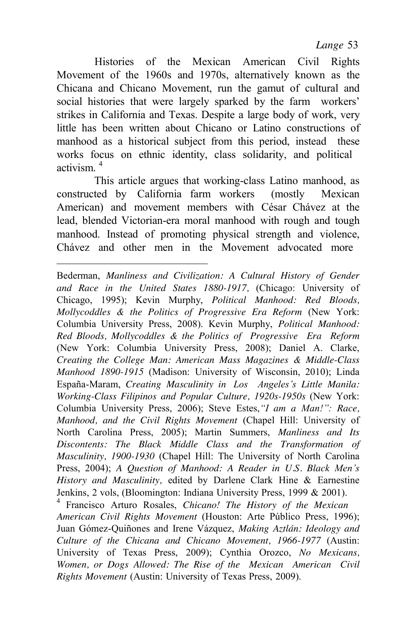*Lange* 53

Histories of the Mexican American Civil Rights Movement of the 1960s and 1970s, alternatively known as the Chicana and Chicano Movement, run the gamut of cultural and social histories that were largely sparked by the farm workers' strikes in California and Texas. Despite a large body of work, very little has been written about Chicano or Latino constructions of manhood as a historical subject from this period, instead these works focus on ethnic identity, class solidarity, and political activism  $<sup>4</sup>$ </sup>

This article argues that working-class Latino manhood, as constructed by California farm workers (mostly Mexican American) and movement members with César Chávez at the lead, blended Victorian-era moral manhood with rough and tough manhood. Instead of promoting physical strength and violence, Chávez and other men in the Movement advocated more

*Rights Movement* (Austin: University of Texas Press, 2009).

Bederman, *Manliness and Civilization: A Cultural History of Gender and Race in the United States 1880-1917,* (Chicago: University of Chicago, 1995); Kevin Murphy, *Political Manhood: Red Bloods, Mollycoddles & the Politics of Progressive Era Reform* (New York: Columbia University Press, 2008). Kevin Murphy, *Political Manhood: Red Bloods, Mollycoddles & the Politics of Progressive Era Reform*  (New York: Columbia University Press, 2008); Daniel A. Clarke, *Creating the College Man: American Mass Magazines & Middle-Class Manhood 1890-1915* (Madison: University of Wisconsin, 2010); Linda España-Maram, *Creating Masculinity in Los Angeles's Little Manila: Working-Class Filipinos and Popular Culture, 1920s-1950s* (New York: Columbia University Press, 2006); Steve Estes,*"I am a Man!": Race, Manhood, and the Civil Rights Movement* (Chapel Hill: University of North Carolina Press, 2005); Martin Summers, *Manliness and Its Discontents: The Black Middle Class and the Transformation of Masculinity, 1900-1930* (Chapel Hill: The University of North Carolina Press, 2004); *A Question of Manhood: A Reader in U.S. Black Men's History and Masculinity,* edited by Darlene Clark Hine & Earnestine Jenkins, 2 vols, (Bloomington: Indiana University Press, 1999 & 2001). 4 Francisco Arturo Rosales, *Chicano! The History of the Mexican American Civil Rights Movement* (Houston: Arte Público Press, 1996); Juan Gómez-Quiñones and Irene Vázquez, *Making Aztlán: Ideology and Culture of the Chicana and Chicano Movement, 1966-1977* (Austin: University of Texas Press, 2009); Cynthia Orozco, *No Mexicans, Women, or Dogs Allowed: The Rise of the Mexican American Civil*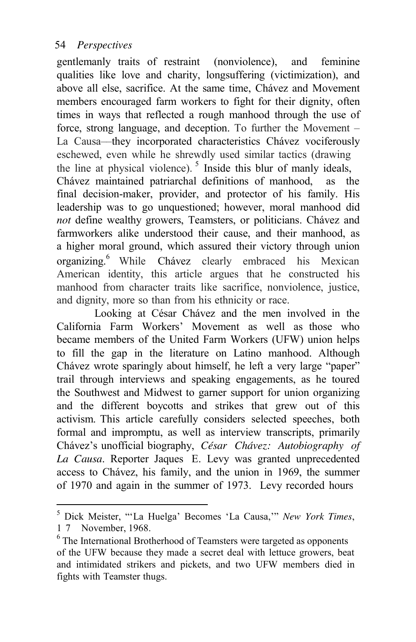gentlemanly traits of restraint (nonviolence), and feminine qualities like love and charity, longsuffering (victimization), and above all else, sacrifice. At the same time, Chávez and Movement members encouraged farm workers to fight for their dignity, often times in ways that reflected a rough manhood through the use of force, strong language, and deception. To further the Movement – La Causa––they incorporated characteristics Chávez vociferously eschewed, even while he shrewdly used similar tactics (drawing the line at physical violence).  $5$  Inside this blur of manly ideals, Chávez maintained patriarchal definitions of manhood, as the final decision-maker, provider, and protector of his family. His leadership was to go unquestioned; however, moral manhood did *not* define wealthy growers, Teamsters, or politicians. Chávez and farmworkers alike understood their cause, and their manhood, as a higher moral ground, which assured their victory through union organizing.6 While Chávez clearly embraced his Mexican American identity, this article argues that he constructed his manhood from character traits like sacrifice, nonviolence, justice, and dignity, more so than from his ethnicity or race.

Looking at César Chávez and the men involved in the California Farm Workers' Movement as well as those who became members of the United Farm Workers (UFW) union helps to fill the gap in the literature on Latino manhood. Although Chávez wrote sparingly about himself, he left a very large "paper" trail through interviews and speaking engagements, as he toured the Southwest and Midwest to garner support for union organizing and the different boycotts and strikes that grew out of this activism. This article carefully considers selected speeches, both formal and impromptu, as well as interview transcripts, primarily Chávez's unofficial biography, *César Chávez: Autobiography of La Causa*. Reporter Jaques E. Levy was granted unprecedented access to Chávez, his family, and the union in 1969, the summer of 1970 and again in the summer of 1973. Levy recorded hours

<sup>5</sup> Dick Meister, "'La Huelga' Becomes 'La Causa,'" *New York Times*, 1 7 November, 1968.

 $6$  The International Brotherhood of Teamsters were targeted as opponents of the UFW because they made a secret deal with lettuce growers, beat and intimidated strikers and pickets, and two UFW members died in fights with Teamster thugs.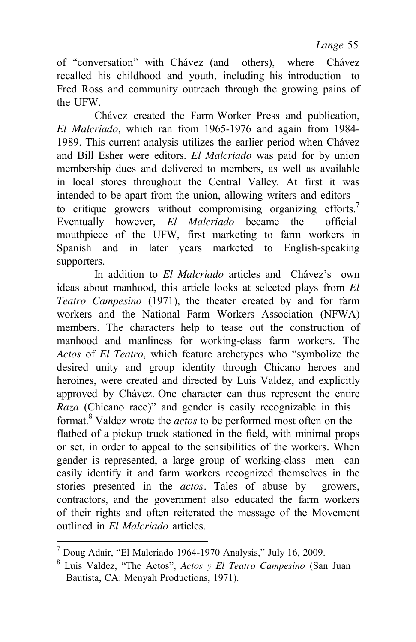of "conversation" with Chávez (and others), where Chávez recalled his childhood and youth, including his introduction to Fred Ross and community outreach through the growing pains of the UFW.

Chávez created the Farm Worker Press and publication, *El Malcriado,* which ran from 1965-1976 and again from 1984- 1989. This current analysis utilizes the earlier period when Chávez and Bill Esher were editors. *El Malcriado* was paid for by union membership dues and delivered to members, as well as available in local stores throughout the Central Valley. At first it was intended to be apart from the union, allowing writers and editors to critique growers without compromising organizing efforts.<sup>7</sup> Eventually however, *El Malcriado* became the official mouthpiece of the UFW, first marketing to farm workers in Spanish and in later years marketed to English-speaking supporters.

In addition to *El Malcriado* articles and Chávez's own ideas about manhood, this article looks at selected plays from *El Teatro Campesino* (1971), the theater created by and for farm workers and the National Farm Workers Association (NFWA) members. The characters help to tease out the construction of manhood and manliness for working-class farm workers. The *Actos* of *El Teatro*, which feature archetypes who "symbolize the desired unity and group identity through Chicano heroes and heroines, were created and directed by Luis Valdez, and explicitly approved by Chávez. One character can thus represent the entire *Raza* (Chicano race)" and gender is easily recognizable in this format.8 Valdez wrote the *actos* to be performed most often on the flatbed of a pickup truck stationed in the field, with minimal props or set, in order to appeal to the sensibilities of the workers. When gender is represented, a large group of working-class men can easily identify it and farm workers recognized themselves in the stories presented in the *actos*. Tales of abuse by growers, contractors, and the government also educated the farm workers of their rights and often reiterated the message of the Movement outlined in *El Malcriado* articles.

<sup>&</sup>lt;sup>7</sup> Doug Adair, "El Malcriado 1964-1970 Analysis," July 16, 2009.<br><sup>8</sup> Luis Valdez, "The Actos", *Actos y El Teatro Campesino* (San Juan Bautista, CA: Menyah Productions, 1971).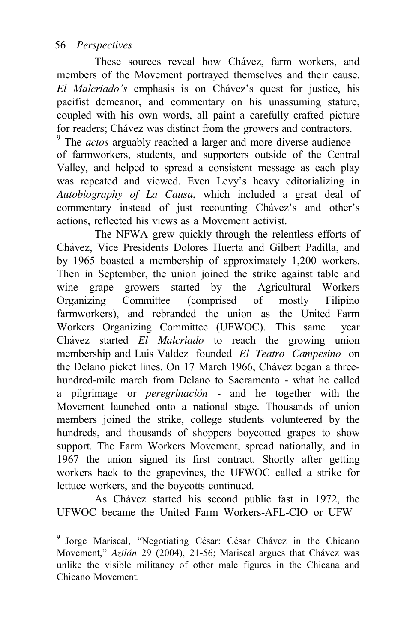These sources reveal how Chávez, farm workers, and members of the Movement portrayed themselves and their cause. *El Malcriado's* emphasis is on Chávez's quest for justice, his pacifist demeanor, and commentary on his unassuming stature, coupled with his own words, all paint a carefully crafted picture for readers; Chávez was distinct from the growers and contractors.

9 The *actos* arguably reached a larger and more diverse audience of farmworkers, students, and supporters outside of the Central Valley, and helped to spread a consistent message as each play was repeated and viewed. Even Levy's heavy editorializing in *Autobiography of La Causa*, which included a great deal of commentary instead of just recounting Chávez's and other's actions, reflected his views as a Movement activist.

The NFWA grew quickly through the relentless efforts of Chávez, Vice Presidents Dolores Huerta and Gilbert Padilla, and by 1965 boasted a membership of approximately 1,200 workers. Then in September, the union joined the strike against table and wine grape growers started by the Agricultural Workers Organizing Committee (comprised of mostly Filipino farmworkers), and rebranded the union as the United Farm Workers Organizing Committee (UFWOC). This same year Chávez started *El Malcriado* to reach the growing union membership and Luis Valdez founded *El Teatro Campesino* on the Delano picket lines. On 17 March 1966, Chávez began a threehundred-mile march from Delano to Sacramento - what he called a pilgrimage or *peregrinación* - and he together with the Movement launched onto a national stage. Thousands of union members joined the strike, college students volunteered by the hundreds, and thousands of shoppers boycotted grapes to show support. The Farm Workers Movement, spread nationally, and in 1967 the union signed its first contract. Shortly after getting workers back to the grapevines, the UFWOC called a strike for lettuce workers, and the boycotts continued.

As Chávez started his second public fast in 1972, the UFWOC became the United Farm Workers-AFL-CIO or UFW

<sup>9</sup> Jorge Mariscal, "Negotiating César: César Chávez in the Chicano Movement," *Aztlán* 29 (2004), 21-56; Mariscal argues that Chávez was unlike the visible militancy of other male figures in the Chicana and Chicano Movement.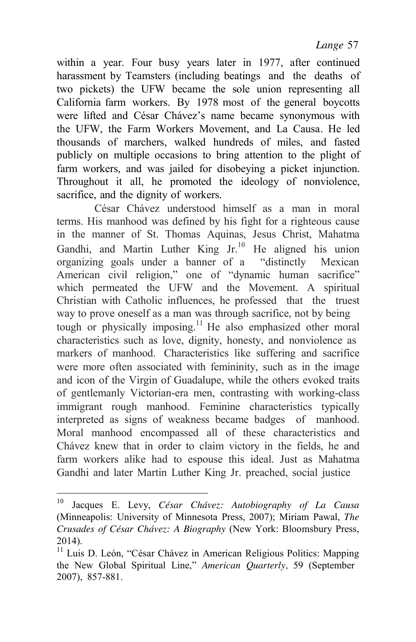within a year. Four busy years later in 1977, after continued harassment by Teamsters (including beatings and the deaths of two pickets) the UFW became the sole union representing all California farm workers. By 1978 most of the general boycotts were lifted and César Chávez's name became synonymous with the UFW, the Farm Workers Movement, and La Causa*.* He led thousands of marchers, walked hundreds of miles, and fasted publicly on multiple occasions to bring attention to the plight of farm workers, and was jailed for disobeying a picket injunction. Throughout it all, he promoted the ideology of nonviolence, sacrifice, and the dignity of workers.

César Chávez understood himself as a man in moral terms. His manhood was defined by his fight for a righteous cause in the manner of St. Thomas Aquinas, Jesus Christ, Mahatma Gandhi, and Martin Luther King Jr.10 He aligned his union organizing goals under a banner of a "distinctly Mexican American civil religion," one of "dynamic human sacrifice" which permeated the UFW and the Movement. A spiritual Christian with Catholic influences, he professed that the truest way to prove oneself as a man was through sacrifice, not by being tough or physically imposing.<sup>11</sup> He also emphasized other moral characteristics such as love, dignity, honesty, and nonviolence as markers of manhood. Characteristics like suffering and sacrifice were more often associated with femininity, such as in the image and icon of the Virgin of Guadalupe, while the others evoked traits of gentlemanly Victorian-era men, contrasting with working-class immigrant rough manhood. Feminine characteristics typically interpreted as signs of weakness became badges of manhood. Moral manhood encompassed all of these characteristics and Chávez knew that in order to claim victory in the fields, he and farm workers alike had to espouse this ideal. Just as Mahatma Gandhi and later Martin Luther King Jr. preached, social justice

<sup>10</sup> Jacques E. Levy, *César Chávez: Autobiography of La Causa* (Minneapolis: University of Minnesota Press, 2007); Miriam Pawal, *The Crusades of César Chávez: A Biography* (New York: Bloomsbury Press, 2014).

<sup>&</sup>lt;sup>11</sup> Luis D. León, "César Chávez in American Religious Politics: Mapping the New Global Spiritual Line," *American Quarterly,* 59 (September 2007), 857-881.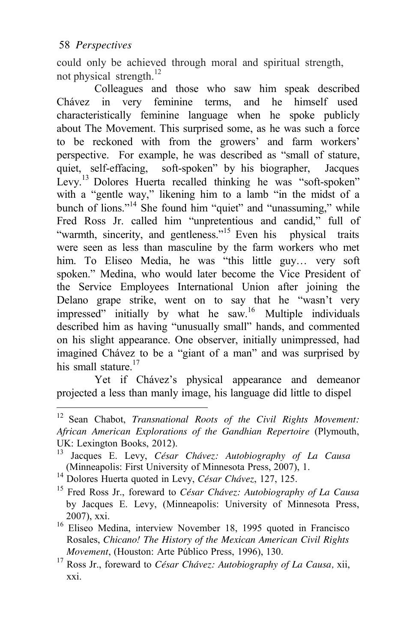could only be achieved through moral and spiritual strength, not physical strength. $^{12}$ 

Colleagues and those who saw him speak described Chávez in very feminine terms, and he himself used characteristically feminine language when he spoke publicly about The Movement. This surprised some, as he was such a force to be reckoned with from the growers' and farm workers' perspective. For example, he was described as "small of stature, quiet, self-effacing, soft-spoken" by his biographer, Jacques Levy.<sup>13</sup> Dolores Huerta recalled thinking he was "soft-spoken" with a "gentle way," likening him to a lamb "in the midst of a bunch of lions."<sup>14</sup> She found him "quiet" and "unassuming," while Fred Ross Jr. called him "unpretentious and candid," full of "warmth, sincerity, and gentleness."<sup>15</sup> Even his physical traits were seen as less than masculine by the farm workers who met him. To Eliseo Media, he was "this little guy... very soft spoken." Medina, who would later become the Vice President of the Service Employees International Union after joining the Delano grape strike, went on to say that he "wasn't very impressed" initially by what he saw.<sup>16</sup> Multiple individuals described him as having "unusually small" hands, and commented on his slight appearance. One observer, initially unimpressed, had imagined Chávez to be a "giant of a man" and was surprised by his small stature.<sup>17</sup>

Yet if Chávez's physical appearance and demeanor projected a less than manly image, his language did little to dispel

<sup>12</sup> Sean Chabot, *Transnational Roots of the Civil Rights Movement: African American Explorations of the Gandhian Repertoire* (Plymouth, UK: Lexington Books, 2012).

<sup>13</sup> Jacques E. Levy, *César Chávez: Autobiography of La Causa* (Minneapolis: First University of Minnesota Press, 2007), 1.<br><sup>14</sup> Dolores Huerta quoted in Levy, César Chávez, 127, 125.

<sup>&</sup>lt;sup>15</sup> Fred Ross Jr., foreward to *César Chávez: Autobiography of La Causa* by Jacques E. Levy, (Minneapolis: University of Minnesota Press,

<sup>2007),</sup> xxi. 16 Eliseo Medina, interview November 18, 1995 quoted in Francisco Rosales, *Chicano! The History of the Mexican American Civil Rights*

*Movement*, (Houston: Arte Público Press, 1996), 130.<br><sup>17</sup> Ross Jr., foreward to *César Chávez: Autobiography of La Causa*, xii, xxi.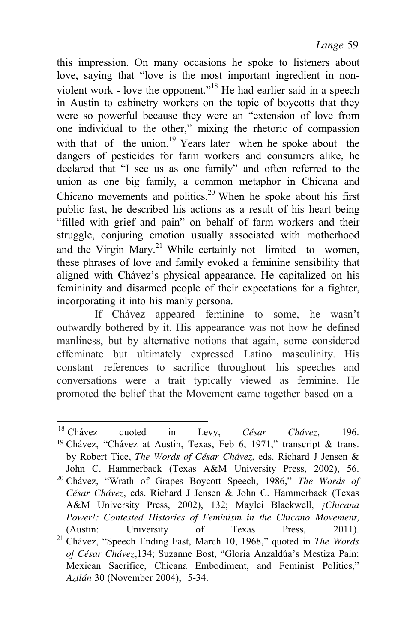this impression. On many occasions he spoke to listeners about love, saying that "love is the most important ingredient in nonviolent work - love the opponent."<sup>18</sup> He had earlier said in a speech in Austin to cabinetry workers on the topic of boycotts that they were so powerful because they were an "extension of love from one individual to the other," mixing the rhetoric of compassion with that of the union.<sup>19</sup> Years later when he spoke about the dangers of pesticides for farm workers and consumers alike, he declared that "I see us as one family" and often referred to the union as one big family, a common metaphor in Chicana and Chicano movements and politics.<sup>20</sup> When he spoke about his first public fast, he described his actions as a result of his heart being "filled with grief and pain" on behalf of farm workers and their struggle, conjuring emotion usually associated with motherhood and the Virgin Mary.<sup>21</sup> While certainly not limited to women, these phrases of love and family evoked a feminine sensibility that aligned with Chávez's physical appearance. He capitalized on his femininity and disarmed people of their expectations for a fighter, incorporating it into his manly persona.

If Chávez appeared feminine to some, he wasn't outwardly bothered by it. His appearance was not how he defined manliness, but by alternative notions that again, some considered effeminate but ultimately expressed Latino masculinity. His constant references to sacrifice throughout his speeches and conversations were a trait typically viewed as feminine. He promoted the belief that the Movement came together based on a

<sup>&</sup>lt;sup>18</sup> Chávez <sup>18</sup> Chávez quoted in Levy, *César Chávez*, 196.<br><sup>19</sup> Chávez "Chávez at Austin Texas Feb 6, 1971" transcript & trans 20 Chávez, "Wrath of Grapes Boycott Speech, 1986," *The Words of* 21 Chávez, "Speech Ending Fast, March 10, 1968," quoted in *The Words* Chávez, "Chávez at Austin, Texas, Feb 6, 1971," transcript & trans. by Robert Tice, *The Words of César Chávez*, eds. Richard J Jensen & John C. Hammerback (Texas A&M University Press, 2002), 56. *César Chávez*, eds. Richard J Jensen & John C. Hammerback (Texas A&M University Press, 2002), 132; Maylei Blackwell, *¡Chicana Power!: Contested Histories of Feminism in the Chicano Movement,*  (Austin: University of Texas Press, 2011). *of César Chávez*,134; Suzanne Bost, "Gloria Anzaldúa's Mestiza Pain: Mexican Sacrifice, Chicana Embodiment, and Feminist Politics," *Aztlán* 30 (November 2004), 5-34.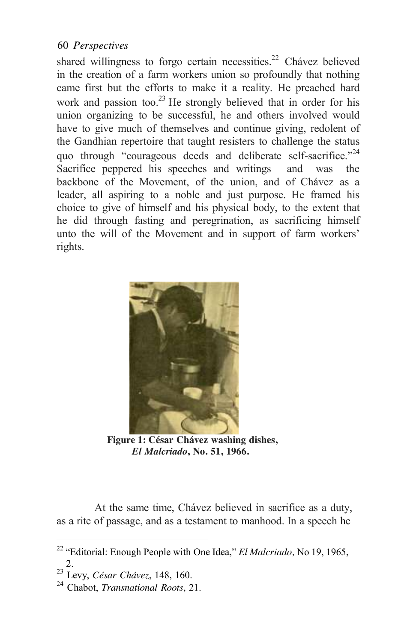shared willingness to forgo certain necessities.<sup>22</sup> Chávez believed in the creation of a farm workers union so profoundly that nothing came first but the efforts to make it a reality. He preached hard work and passion too.<sup>23</sup> He strongly believed that in order for his union organizing to be successful, he and others involved would have to give much of themselves and continue giving, redolent of the Gandhian repertoire that taught resisters to challenge the status quo through "courageous deeds and deliberate self-sacrifice."<sup>24</sup> Sacrifice peppered his speeches and writings and was the backbone of the Movement, of the union, and of Chávez as a leader, all aspiring to a noble and just purpose. He framed his choice to give of himself and his physical body, to the extent that he did through fasting and peregrination, as sacrificing himself unto the will of the Movement and in support of farm workers' rights.



 **Figure 1: César Chávez washing dishes,**  *El Malcriado***, No. 51, 1966.**

At the same time, Chávez believed in sacrifice as a duty, as a rite of passage, and as a testament to manhood. In a speech he

<sup>22</sup>"Editorial: Enough People with One Idea," *El Malcriado,* No 19, 1965,

<sup>2.</sup> 23 Levy, *César Chávez*, 148, 160. 24 Chabot, *Transnational Roots*, 21.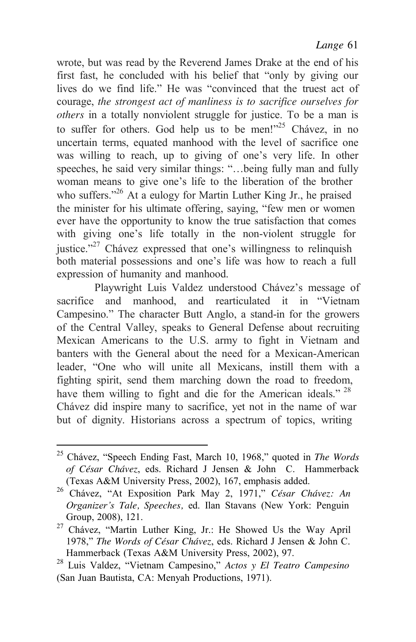wrote, but was read by the Reverend James Drake at the end of his first fast, he concluded with his belief that "only by giving our lives do we find life." He was "convinced that the truest act of courage, *the strongest act of manliness is to sacrifice ourselves for others* in a totally nonviolent struggle for justice. To be a man is to suffer for others. God help us to be men!"<sup>25</sup> Chávez, in no uncertain terms, equated manhood with the level of sacrifice one was willing to reach, up to giving of one's very life. In other speeches, he said very similar things: "…being fully man and fully woman means to give one's life to the liberation of the brother who suffers."<sup>26</sup> At a eulogy for Martin Luther King Jr., he praised the minister for his ultimate offering, saying, "few men or women ever have the opportunity to know the true satisfaction that comes with giving one's life totally in the non-violent struggle for justice."<sup>27</sup> Chávez expressed that one's willingness to relinquish both material possessions and one's life was how to reach a full expression of humanity and manhood.

Playwright Luis Valdez understood Chávez's message of sacrifice and manhood, and rearticulated it in "Vietnam Campesino." The character Butt Anglo, a stand-in for the growers of the Central Valley, speaks to General Defense about recruiting Mexican Americans to the U.S. army to fight in Vietnam and banters with the General about the need for a Mexican-American leader, "One who will unite all Mexicans, instill them with a fighting spirit, send them marching down the road to freedom, have them willing to fight and die for the American ideals."  $28$ Chávez did inspire many to sacrifice, yet not in the name of war but of dignity. Historians across a spectrum of topics, writing

<sup>25</sup> Chávez, "Speech Ending Fast, March 10, 1968," quoted in *The Words of César Chávez*, eds. Richard J Jensen & John C. Hammerback

<sup>(</sup>Texas A&M University Press, 2002), 167, emphasis added. 26 Chávez, "At Exposition Park May 2, 1971," *César Chávez: An Organizer's Tale, Speeches,* ed. Ilan Stavans (New York: Penguin

Group, 2008), 121. 27 Chávez, "Martin Luther King, Jr.: He Showed Us the Way April 1978," *The Words of César Chávez*, eds. Richard J Jensen & John C.<br>Hammerback (Texas A&M University Press, 2002), 97.

<sup>&</sup>lt;sup>28</sup> Luis Valdez, "Vietnam Campesino," *Actos y El Teatro Campesino* (San Juan Bautista, CA: Menyah Productions, 1971).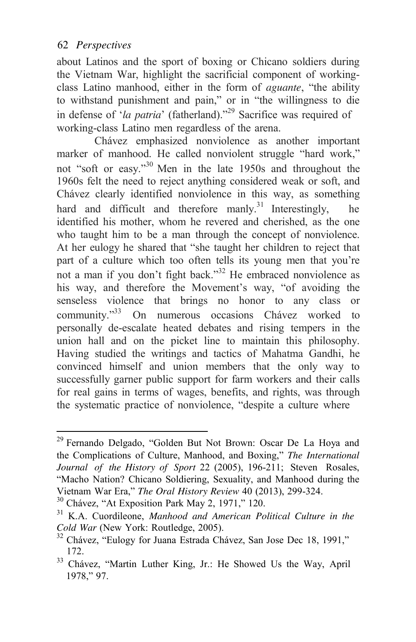about Latinos and the sport of boxing or Chicano soldiers during the Vietnam War, highlight the sacrificial component of workingclass Latino manhood, either in the form of *aguante*, "the ability to withstand punishment and pain," or in "the willingness to die in defense of '*la patria*' (fatherland)."29 Sacrifice was required of working-class Latino men regardless of the arena.

Chávez emphasized nonviolence as another important marker of manhood. He called nonviolent struggle "hard work," not "soft or easy."30 Men in the late 1950s and throughout the 1960s felt the need to reject anything considered weak or soft, and Chávez clearly identified nonviolence in this way, as something hard and difficult and therefore manly.<sup>31</sup> Interestingly, he identified his mother, whom he revered and cherished, as the one who taught him to be a man through the concept of nonviolence. At her eulogy he shared that "she taught her children to reject that part of a culture which too often tells its young men that you're not a man if you don't fight back."<sup>32</sup> He embraced nonviolence as his way, and therefore the Movement's way, "of avoiding the senseless violence that brings no honor to any class or community."33 On numerous occasions Chávez worked to personally de-escalate heated debates and rising tempers in the union hall and on the picket line to maintain this philosophy. Having studied the writings and tactics of Mahatma Gandhi, he convinced himself and union members that the only way to successfully garner public support for farm workers and their calls for real gains in terms of wages, benefits, and rights, was through the systematic practice of nonviolence, "despite a culture where

<sup>29</sup> Fernando Delgado, "Golden But Not Brown: Oscar De La Hoya and the Complications of Culture, Manhood, and Boxing," *The International Journal of the History of Sport* 22 (2005), 196-211; Steven Rosales, "Macho Nation? Chicano Soldiering, Sexuality, and Manhood during the Vietnam War Era," *The Oral History Review* 40 (2013), 299-324. 30 Chávez, "At Exposition Park May 2, 1971," 120. 31 K.A. Cuordileone, *Manhood and American Political Culture in the*

*Cold War* (New York: Routledge, 2005).<br><sup>32</sup> Chávez, "Eulogy for Juana Estrada Chávez, San Jose Dec 18, 1991," 172.

<sup>&</sup>lt;sup>33</sup> Chávez, "Martin Luther King, Jr.: He Showed Us the Way, April 1978," 97.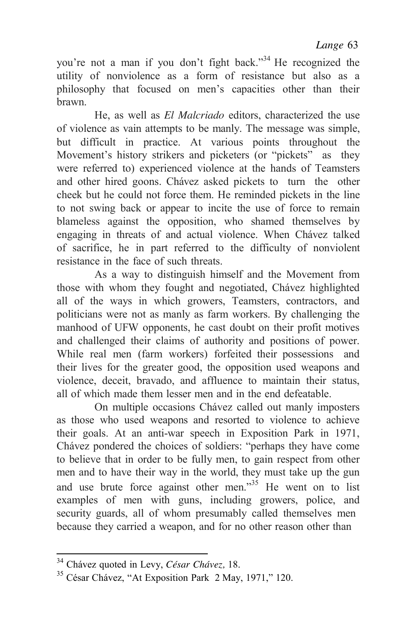you're not a man if you don't fight back."34 He recognized the utility of nonviolence as a form of resistance but also as a philosophy that focused on men's capacities other than their brawn.

He, as well as *El Malcriado* editors, characterized the use of violence as vain attempts to be manly. The message was simple, but difficult in practice. At various points throughout the Movement's history strikers and picketers (or "pickets" as they were referred to) experienced violence at the hands of Teamsters and other hired goons. Chávez asked pickets to turn the other cheek but he could not force them. He reminded pickets in the line to not swing back or appear to incite the use of force to remain blameless against the opposition, who shamed themselves by engaging in threats of and actual violence. When Chávez talked of sacrifice, he in part referred to the difficulty of nonviolent resistance in the face of such threats.

As a way to distinguish himself and the Movement from those with whom they fought and negotiated, Chávez highlighted all of the ways in which growers, Teamsters, contractors, and politicians were not as manly as farm workers. By challenging the manhood of UFW opponents, he cast doubt on their profit motives and challenged their claims of authority and positions of power. While real men (farm workers) forfeited their possessions and their lives for the greater good, the opposition used weapons and violence, deceit, bravado, and affluence to maintain their status, all of which made them lesser men and in the end defeatable.

On multiple occasions Chávez called out manly imposters as those who used weapons and resorted to violence to achieve their goals. At an anti-war speech in Exposition Park in 1971, Chávez pondered the choices of soldiers: "perhaps they have come to believe that in order to be fully men, to gain respect from other men and to have their way in the world, they must take up the gun and use brute force against other men."<sup>35</sup> He went on to list examples of men with guns, including growers, police, and security guards, all of whom presumably called themselves men because they carried a weapon, and for no other reason other than

<sup>34</sup> Chávez quoted in Levy, *César Chávez,* 18.

<sup>35</sup> César Chávez, "At Exposition Park 2 May, 1971," 120.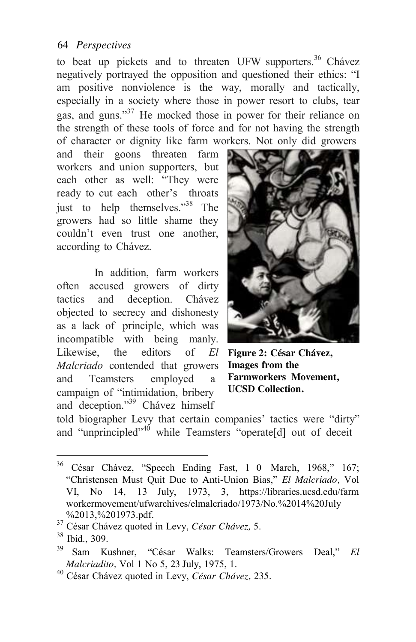to beat up pickets and to threaten UFW supporters.<sup>36</sup> Chávez negatively portrayed the opposition and questioned their ethics: "I am positive nonviolence is the way, morally and tactically, especially in a society where those in power resort to clubs, tear gas, and guns."<sup>37</sup> He mocked those in power for their reliance on the strength of these tools of force and for not having the strength of character or dignity like farm workers. Not only did growers

and their goons threaten farm workers and union supporters, but each other as well: "They were ready to cut each other's throats just to help themselves."38 The growers had so little shame they couldn't even trust one another, according to Chávez.

In addition, farm workers often accused growers of dirty tactics and deception. Chávez objected to secrecy and dishonesty as a lack of principle, which was incompatible with being manly. Likewise, the editors of *El* **Figure 2: César Chávez,**  *Malcriado* contended that growers **Images from the**  and Teamsters employed a campaign of "intimidation, bribery and deception."39 Chávez himself



**Farmworkers Movement, UCSD Collection.**

told biographer Levy that certain companies' tactics were "dirty" and "unprincipled"<sup>40</sup> while Teamsters "operate[d] out of deceit

<sup>&</sup>lt;sup>36</sup> César Chávez, "Speech Ending Fast, 1 0 March, 1968," 167; "Christensen Must Quit Due to Anti-Union Bias," *El Malcriado,* Vol VI, No 14, 13 July, 1973, 3, https://libraries.ucsd.edu/farm workermovement/ufwarchives/elmalcriado/1973/No.%2014%20July

<sup>%2013,%201973.</sup>pdf. 37 César Chávez quoted in Levy, *César Chávez,* 5. <sup>38</sup> Ibid., 309.

<sup>39</sup> Sam Kushner, "César Walks: Teamsters/Growers Deal," *El*

<sup>&</sup>lt;sup>40</sup> César Chávez quoted in Levy, *César Chávez*, 235.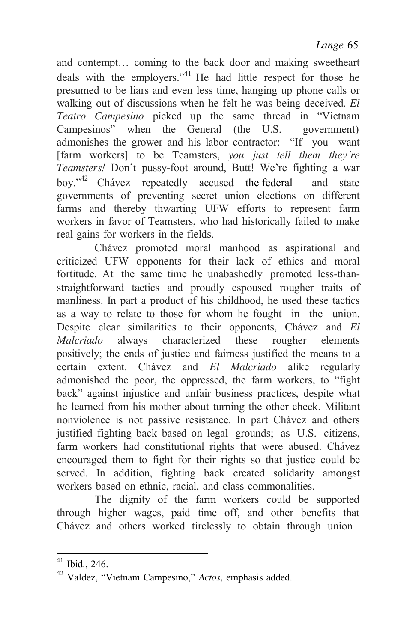and contempt… coming to the back door and making sweetheart deals with the employers."<sup>41</sup> He had little respect for those he presumed to be liars and even less time, hanging up phone calls or walking out of discussions when he felt he was being deceived. *El Teatro Campesino* picked up the same thread in "Vietnam Campesinos" when the General (the U.S. government) admonishes the grower and his labor contractor: "If you want [farm workers] to be Teamsters, *you just tell them they're Teamsters!* Don't pussy-foot around, Butt! We're fighting a war boy."<sup>42</sup> Chávez repeatedly accused the federal and state governments of preventing secret union elections on different farms and thereby thwarting UFW efforts to represent farm workers in favor of Teamsters, who had historically failed to make real gains for workers in the fields.

Chávez promoted moral manhood as aspirational and criticized UFW opponents for their lack of ethics and moral fortitude. At the same time he unabashedly promoted less-thanstraightforward tactics and proudly espoused rougher traits of manliness. In part a product of his childhood, he used these tactics as a way to relate to those for whom he fought in the union. Despite clear similarities to their opponents, Chávez and *El Malcriado* always characterized these rougher elements positively; the ends of justice and fairness justified the means to a certain extent. Chávez and *El Malcriado* alike regularly admonished the poor, the oppressed, the farm workers, to "fight back" against injustice and unfair business practices, despite what he learned from his mother about turning the other cheek. Militant nonviolence is not passive resistance. In part Chávez and others justified fighting back based on legal grounds; as U.S. citizens, farm workers had constitutional rights that were abused. Chávez encouraged them to fight for their rights so that justice could be served. In addition, fighting back created solidarity amongst workers based on ethnic, racial, and class commonalities.

The dignity of the farm workers could be supported through higher wages, paid time off, and other benefits that Chávez and others worked tirelessly to obtain through union

<sup>41</sup> Ibid., 246.

<sup>42</sup> Valdez, "Vietnam Campesino," *Actos,* emphasis added.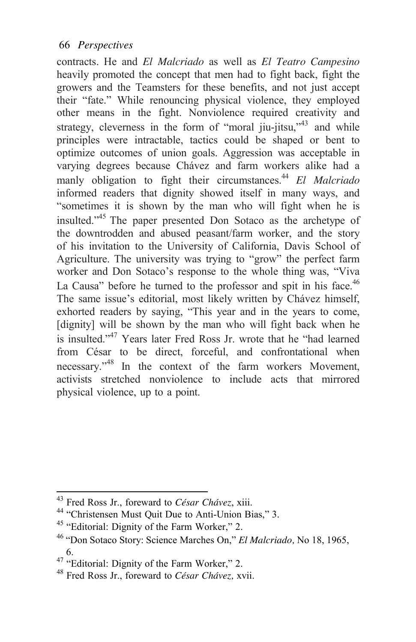contracts. He and *El Malcriado* as well as *El Teatro Campesino* heavily promoted the concept that men had to fight back, fight the growers and the Teamsters for these benefits, and not just accept their "fate." While renouncing physical violence, they employed other means in the fight. Nonviolence required creativity and strategy, cleverness in the form of "moral jiu-jitsu,"<sup>43</sup> and while principles were intractable, tactics could be shaped or bent to optimize outcomes of union goals. Aggression was acceptable in varying degrees because Chávez and farm workers alike had a manly obligation to fight their circumstances.<sup>44</sup> *El Malcriado* informed readers that dignity showed itself in many ways, and "sometimes it is shown by the man who will fight when he is insulted."45 The paper presented Don Sotaco as the archetype of the downtrodden and abused peasant/farm worker, and the story of his invitation to the University of California, Davis School of Agriculture. The university was trying to "grow" the perfect farm worker and Don Sotaco's response to the whole thing was, "Viva La Causa" before he turned to the professor and spit in his face.<sup>46</sup> The same issue's editorial, most likely written by Chávez himself, exhorted readers by saying, "This year and in the years to come, [dignity] will be shown by the man who will fight back when he is insulted."<sup>47</sup> Years later Fred Ross Jr. wrote that he "had learned" from César to be direct, forceful, and confrontational when necessary."48 In the context of the farm workers Movement, activists stretched nonviolence to include acts that mirrored physical violence, up to a point.

<sup>&</sup>lt;sup>43</sup> Fred Ross Jr., foreward to *César Chávez*, xiii.<br><sup>44</sup> "Christensen Must Quit Due to Anti-Union Bias," 3.

<sup>&</sup>lt;sup>45</sup> "Editorial: Dignity of the Farm Worker," 2.

<sup>46</sup>"Don Sotaco Story: Science Marches On," *El Malcriado,* No 18, 1965, 6.<br>
<sup>47</sup> "Editorial: Dignity of the Farm Worker," 2.

<sup>48</sup> Fred Ross Jr., foreward to *César Chávez,* xvii.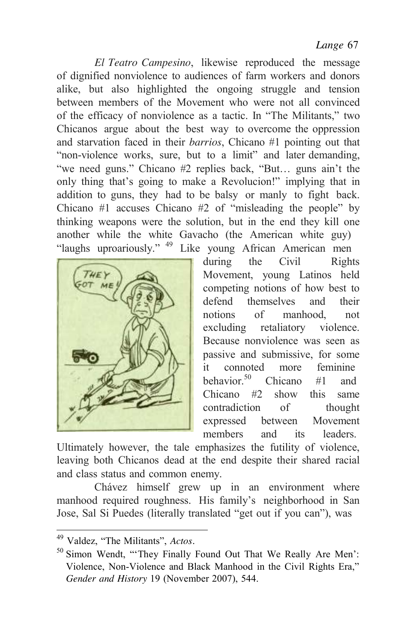*El Teatro Campesino*, likewise reproduced the message of dignified nonviolence to audiences of farm workers and donors alike, but also highlighted the ongoing struggle and tension between members of the Movement who were not all convinced of the efficacy of nonviolence as a tactic. In "The Militants," two Chicanos argue about the best way to overcome the oppression and starvation faced in their *barrios*, Chicano #1 pointing out that "non-violence works, sure, but to a limit" and later demanding, "we need guns." Chicano #2 replies back, "But… guns ain't the only thing that's going to make a Revolucion!" implying that in addition to guns, they had to be balsy or manly to fight back. Chicano #1 accuses Chicano #2 of "misleading the people" by thinking weapons were the solution, but in the end they kill one another while the white Gavacho (the American white guy) "laughs uproariously." 49 Like young African American men



during the Civil Rights Movement, young Latinos held competing notions of how best to defend themselves and their notions of manhood not excluding retaliatory violence. Because nonviolence was seen as passive and submissive, for some it connoted more feminine behavior.<sup>50</sup> Chicano #1 and Chicano #2 show this same contradiction of thought expressed between Movement members and its leaders.

Ultimately however, the tale emphasizes the futility of violence, leaving both Chicanos dead at the end despite their shared racial and class status and common enemy.

Chávez himself grew up in an environment where manhood required roughness. His family's neighborhood in San Jose, Sal Si Puedes (literally translated "get out if you can"), was

<sup>49</sup> Valdez, "The Militants", *Actos.*

<sup>50</sup> Simon Wendt, "'They Finally Found Out That We Really Are Men': Violence, Non-Violence and Black Manhood in the Civil Rights Era," *Gender and History* 19 (November 2007), 544.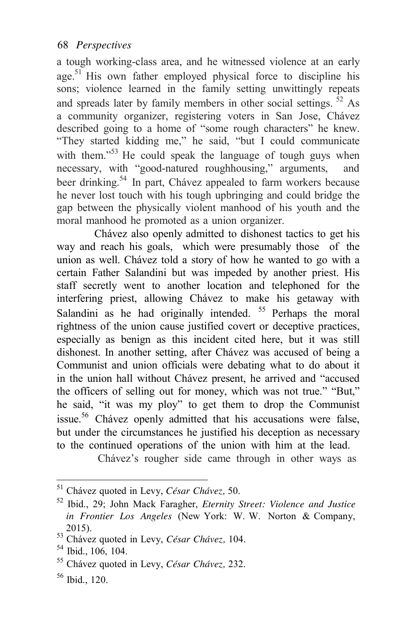a tough working-class area, and he witnessed violence at an early age.<sup>51</sup> His own father employed physical force to discipline his sons; violence learned in the family setting unwittingly repeats and spreads later by family members in other social settings. <sup>52</sup> As a community organizer, registering voters in San Jose, Chávez described going to a home of "some rough characters" he knew. "They started kidding me," he said, "but I could communicate with them."<sup>53</sup> He could speak the language of tough guys when necessary, with "good-natured roughhousing," arguments, and beer drinking.<sup>54</sup> In part, Chávez appealed to farm workers because he never lost touch with his tough upbringing and could bridge the gap between the physically violent manhood of his youth and the moral manhood he promoted as a union organizer.

Chávez also openly admitted to dishonest tactics to get his way and reach his goals, which were presumably those of the union as well. Chávez told a story of how he wanted to go with a certain Father Salandini but was impeded by another priest. His staff secretly went to another location and telephoned for the interfering priest, allowing Chávez to make his getaway with Salandini as he had originally intended.  $55$  Perhaps the moral rightness of the union cause justified covert or deceptive practices, especially as benign as this incident cited here, but it was still dishonest. In another setting, after Chávez was accused of being a Communist and union officials were debating what to do about it in the union hall without Chávez present, he arrived and "accused the officers of selling out for money, which was not true." "But," he said, "it was my ploy" to get them to drop the Communist issue.<sup>56</sup> Chávez openly admitted that his accusations were false, but under the circumstances he justified his deception as necessary to the continued operations of the union with him at the lead.

Chávez's rougher side came through in other ways as

<sup>51</sup> Chávez quoted in Levy, *César Chávez,* 50.

<sup>52</sup> Ibid., 29; John Mack Faragher, *Eternity Street: Violence and Justice in Frontier Los Angeles* (New York: W. W. Norton & Company,

<sup>2015). 53</sup> Chávez quoted in Levy, *César Chávez,* 104. 54 Ibid., 106, 104.

<sup>55</sup> Chávez quoted in Levy, *César Chávez,* 232.

<sup>56</sup> Ibid., 120.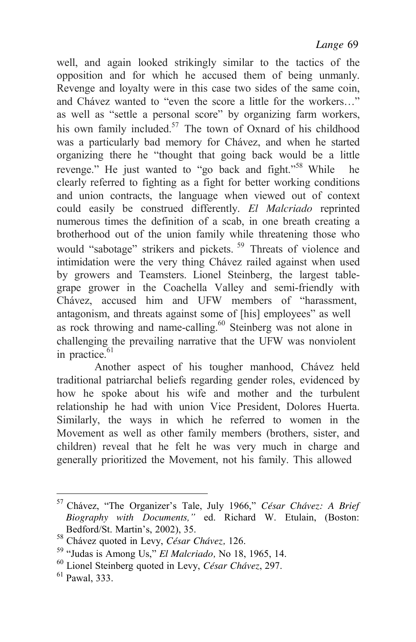well, and again looked strikingly similar to the tactics of the opposition and for which he accused them of being unmanly. Revenge and loyalty were in this case two sides of the same coin, and Chávez wanted to "even the score a little for the workers…" as well as "settle a personal score" by organizing farm workers, his own family included.<sup>57</sup> The town of Oxnard of his childhood was a particularly bad memory for Chávez, and when he started organizing there he "thought that going back would be a little revenge." He just wanted to "go back and fight."<sup>58</sup> While he clearly referred to fighting as a fight for better working conditions and union contracts, the language when viewed out of context could easily be construed differently. *El Malcriado* reprinted numerous times the definition of a scab, in one breath creating a brotherhood out of the union family while threatening those who would "sabotage" strikers and pickets.<sup>59</sup> Threats of violence and intimidation were the very thing Chávez railed against when used by growers and Teamsters. Lionel Steinberg, the largest tablegrape grower in the Coachella Valley and semi-friendly with Chávez, accused him and UFW members of "harassment, antagonism, and threats against some of [his] employees" as well as rock throwing and name-calling.<sup>60</sup> Steinberg was not alone in challenging the prevailing narrative that the UFW was nonviolent in practice. $61$ 

Another aspect of his tougher manhood, Chávez held traditional patriarchal beliefs regarding gender roles, evidenced by how he spoke about his wife and mother and the turbulent relationship he had with union Vice President, Dolores Huerta. Similarly, the ways in which he referred to women in the Movement as well as other family members (brothers, sister, and children) reveal that he felt he was very much in charge and generally prioritized the Movement, not his family. This allowed

<sup>57</sup> Chávez, "The Organizer's Tale, July 1966," *César Chávez: A Brief Biography with Documents,"* ed. Richard W. Etulain, (Boston:

<sup>&</sup>lt;sup>58</sup> Chávez quoted in Levy, *César Chávez*, 126.<br><sup>59</sup> "Judas is Among Us," *El Malcriado*, No 18, 1965, 14.<br><sup>60</sup> Lionel Steinberg quoted in Levy, *César Chávez*, 297.<br><sup>61</sup> Pawal. 333.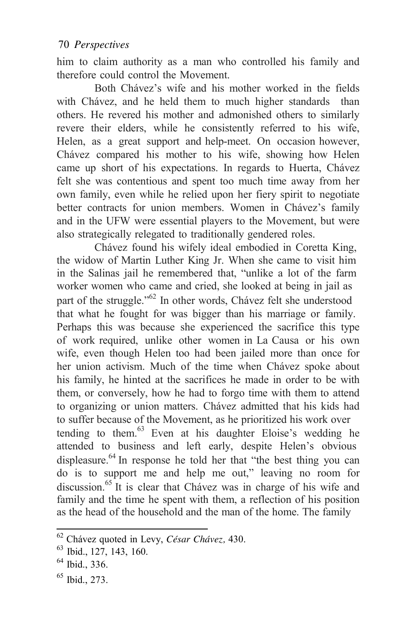him to claim authority as a man who controlled his family and therefore could control the Movement.

Both Chávez's wife and his mother worked in the fields with Chávez, and he held them to much higher standards than others. He revered his mother and admonished others to similarly revere their elders, while he consistently referred to his wife, Helen, as a great support and help-meet. On occasion however, Chávez compared his mother to his wife, showing how Helen came up short of his expectations. In regards to Huerta, Chávez felt she was contentious and spent too much time away from her own family, even while he relied upon her fiery spirit to negotiate better contracts for union members. Women in Chávez's family and in the UFW were essential players to the Movement, but were also strategically relegated to traditionally gendered roles.

Chávez found his wifely ideal embodied in Coretta King, the widow of Martin Luther King Jr. When she came to visit him in the Salinas jail he remembered that, "unlike a lot of the farm worker women who came and cried, she looked at being in jail as part of the struggle."62 In other words, Chávez felt she understood that what he fought for was bigger than his marriage or family. Perhaps this was because she experienced the sacrifice this type of work required, unlike other women in La Causa or his own wife, even though Helen too had been jailed more than once for her union activism. Much of the time when Chávez spoke about his family, he hinted at the sacrifices he made in order to be with them, or conversely, how he had to forgo time with them to attend to organizing or union matters. Chávez admitted that his kids had to suffer because of the Movement, as he prioritized his work over tending to them. $63$  Even at his daughter Eloise's wedding he attended to business and left early, despite Helen's obvious displeasure.<sup>64</sup> In response he told her that "the best thing you can do is to support me and help me out," leaving no room for discussion.<sup>65</sup> It is clear that Chávez was in charge of his wife and family and the time he spent with them, a reflection of his position as the head of the household and the man of the home. The family

<sup>62</sup> Chávez quoted in Levy, *César Chávez,* 430. 63 Ibid., 127, 143, 160.

<sup>64</sup> Ibid., 336.

<sup>65</sup> Ibid., 273.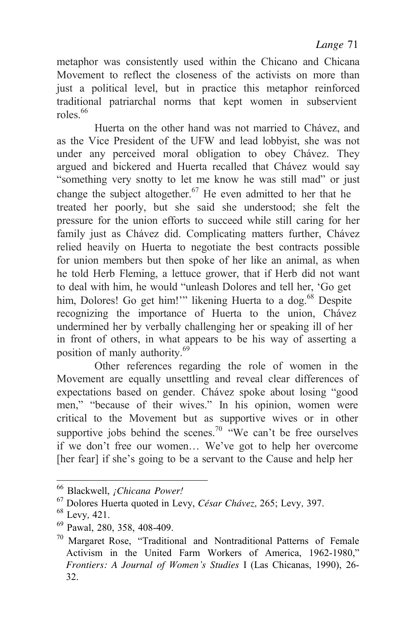metaphor was consistently used within the Chicano and Chicana Movement to reflect the closeness of the activists on more than just a political level, but in practice this metaphor reinforced traditional patriarchal norms that kept women in subservient roles.<sup>66</sup>

Huerta on the other hand was not married to Chávez, and as the Vice President of the UFW and lead lobbyist, she was not under any perceived moral obligation to obey Chávez. They argued and bickered and Huerta recalled that Chávez would say "something very snotty to let me know he was still mad" or just change the subject altogether.<sup>67</sup> He even admitted to her that he treated her poorly, but she said she understood; she felt the pressure for the union efforts to succeed while still caring for her family just as Chávez did. Complicating matters further, Chávez relied heavily on Huerta to negotiate the best contracts possible for union members but then spoke of her like an animal, as when he told Herb Fleming, a lettuce grower, that if Herb did not want to deal with him, he would "unleash Dolores and tell her, 'Go get him, Dolores! Go get him!"" likening Huerta to a dog.<sup>68</sup> Despite recognizing the importance of Huerta to the union, Chávez undermined her by verbally challenging her or speaking ill of her in front of others, in what appears to be his way of asserting a position of manly authority.<sup>69</sup>

Other references regarding the role of women in the Movement are equally unsettling and reveal clear differences of expectations based on gender. Chávez spoke about losing "good men," "because of their wives." In his opinion, women were critical to the Movement but as supportive wives or in other supportive jobs behind the scenes.<sup>70</sup> "We can't be free ourselves if we don't free our women… We've got to help her overcome [her fear] if she's going to be a servant to the Cause and help her

<sup>&</sup>lt;sup>66</sup> Blackwell, *¡Chicana Power!*<br><sup>67</sup> Dolores Huerta quoted in Levy, *César Chávez*, 265; Levy, 397.<br><sup>68</sup> Levy, 421.<br><sup>69</sup> Pawal, 280, 358, 408-409.<br><sup>70</sup> Margaret Rose. "Traditional and Nontraditional Patterns of Female

Activism in the United Farm Workers of America, 1962-1980," *Frontiers: A Journal of Women's Studies* I (Las Chicanas, 1990), 26- 32.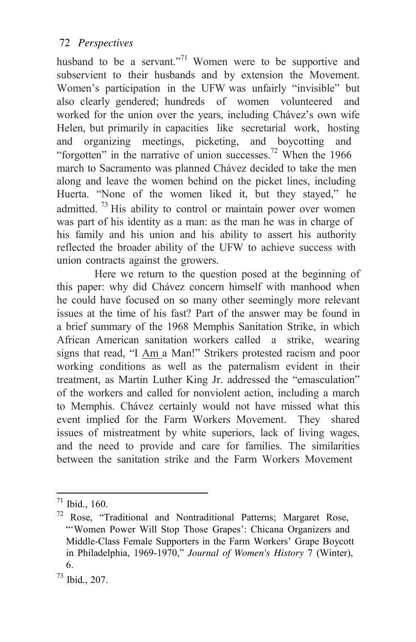husband to be a servant."<sup>71</sup> Women were to be supportive and subservient to their husbands and by extension the Movement. Women's participation in the UFW was unfairly "invisible" but also clearly gendered; hundreds of women volunteered and worked for the union over the years, including Chávez's own wife Helen, but primarily in capacities like secretarial work, hosting and organizing meetings, picketing, and boycotting and "forgotten" in the narrative of union successes.<sup>72</sup> When the 1966 march to Sacramento was planned Chávez decided to take the men along and leave the women behind on the picket lines, including Huerta. "None of the women liked it, but they stayed," he admitted.  $^{73}$  His ability to control or maintain power over women was part of his identity as a man: as the man he was in charge of his family and his union and his ability to assert his authority reflected the broader ability of the UFW to achieve success with union contracts against the growers.

Here we return to the question posed at the beginning of this paper: why did Chávez concern himself with manhood when he could have focused on so many other seemingly more relevant issues at the time of his fast? Part of the answer may be found in a brief summary of the 1968 Memphis Sanitation Strike, in which African American sanitation workers called a strike, wearing signs that read, "I Am a Man!" Strikers protested racism and poor working conditions as well as the paternalism evident in their treatment, as Martin Luther King Jr. addressed the "emasculation" of the workers and called for nonviolent action, including a march to Memphis. Chávez certainly would not have missed what this event implied for the Farm Workers Movement. They shared issues of mistreatment by white superiors, lack of living wages, and the need to provide and care for families. The similarities between the sanitation strike and the Farm Workers Movement

 $71$  Ibid., 160.

<sup>72</sup> Rose, "Traditional and Nontraditional Patterns; Margaret Rose, "'Women Power Will Stop Those Grapes': Chicana Organizers and Middle-Class Female Supporters in the Farm Workers' Grape Boycott in Philadelphia, 1969-1970," *Journal of Women's History* 7 (Winter), 6.

<sup>73</sup> Ibid., 207.